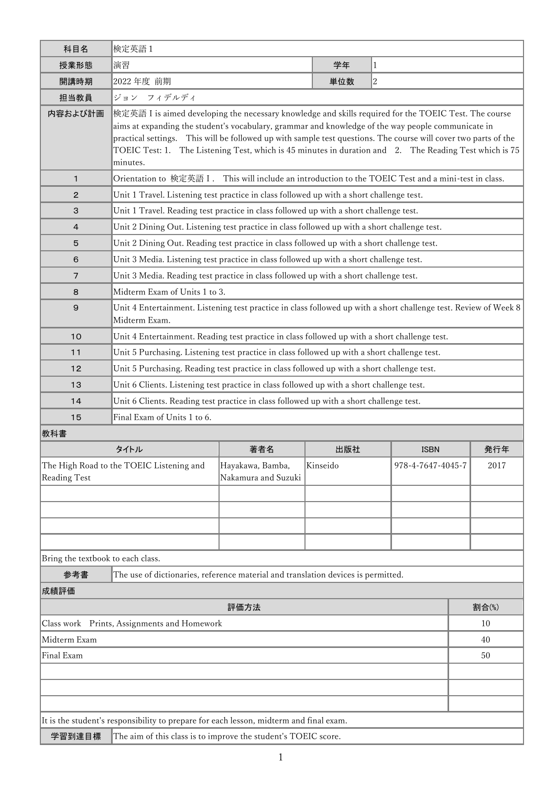| 科目名                                         | 検定英語1                                                                                                                                                                                                                                                                                                                                                                                                                                    |                                                                                          |          |                   |  |      |  |  |  |
|---------------------------------------------|------------------------------------------------------------------------------------------------------------------------------------------------------------------------------------------------------------------------------------------------------------------------------------------------------------------------------------------------------------------------------------------------------------------------------------------|------------------------------------------------------------------------------------------|----------|-------------------|--|------|--|--|--|
| 授業形態                                        | 演習                                                                                                                                                                                                                                                                                                                                                                                                                                       |                                                                                          | 学年       | $\vert$ 1         |  |      |  |  |  |
| 開講時期                                        | 2022年度 前期                                                                                                                                                                                                                                                                                                                                                                                                                                |                                                                                          | 単位数      | $ 2\rangle$       |  |      |  |  |  |
| 担当教員                                        | ジョン フィデルディ                                                                                                                                                                                                                                                                                                                                                                                                                               |                                                                                          |          |                   |  |      |  |  |  |
| 内容および計画                                     |                                                                                                                                                                                                                                                                                                                                                                                                                                          |                                                                                          |          |                   |  |      |  |  |  |
|                                             | 檢定英語 I is aimed developing the necessary knowledge and skills required for the TOEIC Test. The course<br>aims at expanding the student's vocabulary, grammar and knowledge of the way people communicate in<br>practical settings. This will be followed up with sample test questions. The course will cover two parts of the<br>TOEIC Test: 1. The Listening Test, which is 45 minutes in duration and 2. The Reading Test which is 75 |                                                                                          |          |                   |  |      |  |  |  |
|                                             | minutes.                                                                                                                                                                                                                                                                                                                                                                                                                                 |                                                                                          |          |                   |  |      |  |  |  |
| $\mathbf{1}$                                | Orientation to 検定英語 I.                                                                                                                                                                                                                                                                                                                                                                                                                   | This will include an introduction to the TOEIC Test and a mini-test in class.            |          |                   |  |      |  |  |  |
| 2                                           |                                                                                                                                                                                                                                                                                                                                                                                                                                          | Unit 1 Travel. Listening test practice in class followed up with a short challenge test. |          |                   |  |      |  |  |  |
| 3                                           | Unit 1 Travel. Reading test practice in class followed up with a short challenge test.                                                                                                                                                                                                                                                                                                                                                   |                                                                                          |          |                   |  |      |  |  |  |
| 4                                           | Unit 2 Dining Out. Listening test practice in class followed up with a short challenge test.                                                                                                                                                                                                                                                                                                                                             |                                                                                          |          |                   |  |      |  |  |  |
| $\mathbf 5$                                 | Unit 2 Dining Out. Reading test practice in class followed up with a short challenge test.                                                                                                                                                                                                                                                                                                                                               |                                                                                          |          |                   |  |      |  |  |  |
| 6                                           | Unit 3 Media. Listening test practice in class followed up with a short challenge test.                                                                                                                                                                                                                                                                                                                                                  |                                                                                          |          |                   |  |      |  |  |  |
| 7                                           | Unit 3 Media. Reading test practice in class followed up with a short challenge test.                                                                                                                                                                                                                                                                                                                                                    |                                                                                          |          |                   |  |      |  |  |  |
| 8                                           |                                                                                                                                                                                                                                                                                                                                                                                                                                          | Midterm Exam of Units 1 to 3.                                                            |          |                   |  |      |  |  |  |
| $\mathsf{9}$                                | Unit 4 Entertainment. Listening test practice in class followed up with a short challenge test. Review of Week 8<br>Midterm Exam.                                                                                                                                                                                                                                                                                                        |                                                                                          |          |                   |  |      |  |  |  |
| 10                                          | Unit 4 Entertainment. Reading test practice in class followed up with a short challenge test.                                                                                                                                                                                                                                                                                                                                            |                                                                                          |          |                   |  |      |  |  |  |
| 11                                          | Unit 5 Purchasing. Listening test practice in class followed up with a short challenge test.                                                                                                                                                                                                                                                                                                                                             |                                                                                          |          |                   |  |      |  |  |  |
| 12                                          | Unit 5 Purchasing. Reading test practice in class followed up with a short challenge test.                                                                                                                                                                                                                                                                                                                                               |                                                                                          |          |                   |  |      |  |  |  |
| 13                                          | Unit 6 Clients. Listening test practice in class followed up with a short challenge test.                                                                                                                                                                                                                                                                                                                                                |                                                                                          |          |                   |  |      |  |  |  |
| 14                                          | Unit 6 Clients. Reading test practice in class followed up with a short challenge test.                                                                                                                                                                                                                                                                                                                                                  |                                                                                          |          |                   |  |      |  |  |  |
| 15                                          | Final Exam of Units 1 to 6.                                                                                                                                                                                                                                                                                                                                                                                                              |                                                                                          |          |                   |  |      |  |  |  |
| 教科書                                         |                                                                                                                                                                                                                                                                                                                                                                                                                                          |                                                                                          |          |                   |  |      |  |  |  |
|                                             | タイトル                                                                                                                                                                                                                                                                                                                                                                                                                                     | 著者名                                                                                      | 出版社      | <b>ISBN</b>       |  | 発行年  |  |  |  |
| Reading Test                                | The High Road to the TOEIC Listening and                                                                                                                                                                                                                                                                                                                                                                                                 | Hayakawa, Bamba,<br>Nakamura and Suzuki                                                  | Kinseido | 978-4-7647-4045-7 |  | 2017 |  |  |  |
|                                             |                                                                                                                                                                                                                                                                                                                                                                                                                                          |                                                                                          |          |                   |  |      |  |  |  |
|                                             |                                                                                                                                                                                                                                                                                                                                                                                                                                          |                                                                                          |          |                   |  |      |  |  |  |
|                                             |                                                                                                                                                                                                                                                                                                                                                                                                                                          |                                                                                          |          |                   |  |      |  |  |  |
|                                             |                                                                                                                                                                                                                                                                                                                                                                                                                                          |                                                                                          |          |                   |  |      |  |  |  |
|                                             | Bring the textbook to each class.                                                                                                                                                                                                                                                                                                                                                                                                        |                                                                                          |          |                   |  |      |  |  |  |
| 参考書                                         | The use of dictionaries, reference material and translation devices is permitted.                                                                                                                                                                                                                                                                                                                                                        |                                                                                          |          |                   |  |      |  |  |  |
| 成績評価                                        |                                                                                                                                                                                                                                                                                                                                                                                                                                          |                                                                                          |          |                   |  |      |  |  |  |
|                                             | 割合(%)                                                                                                                                                                                                                                                                                                                                                                                                                                    |                                                                                          |          |                   |  |      |  |  |  |
| Class work Prints, Assignments and Homework |                                                                                                                                                                                                                                                                                                                                                                                                                                          |                                                                                          |          |                   |  | 10   |  |  |  |
| Midterm Exam                                |                                                                                                                                                                                                                                                                                                                                                                                                                                          |                                                                                          |          |                   |  | 40   |  |  |  |
| Final Exam                                  |                                                                                                                                                                                                                                                                                                                                                                                                                                          |                                                                                          |          |                   |  | 50   |  |  |  |
|                                             |                                                                                                                                                                                                                                                                                                                                                                                                                                          |                                                                                          |          |                   |  |      |  |  |  |
|                                             |                                                                                                                                                                                                                                                                                                                                                                                                                                          |                                                                                          |          |                   |  |      |  |  |  |
|                                             |                                                                                                                                                                                                                                                                                                                                                                                                                                          |                                                                                          |          |                   |  |      |  |  |  |
|                                             | It is the student's responsibility to prepare for each lesson, midterm and final exam.                                                                                                                                                                                                                                                                                                                                                   |                                                                                          |          |                   |  |      |  |  |  |

| _ |  |  |  |
|---|--|--|--|
|   |  |  |  |
|   |  |  |  |
|   |  |  |  |

学習到達目標 The aim of this class is to improve the student's TOEIC score.